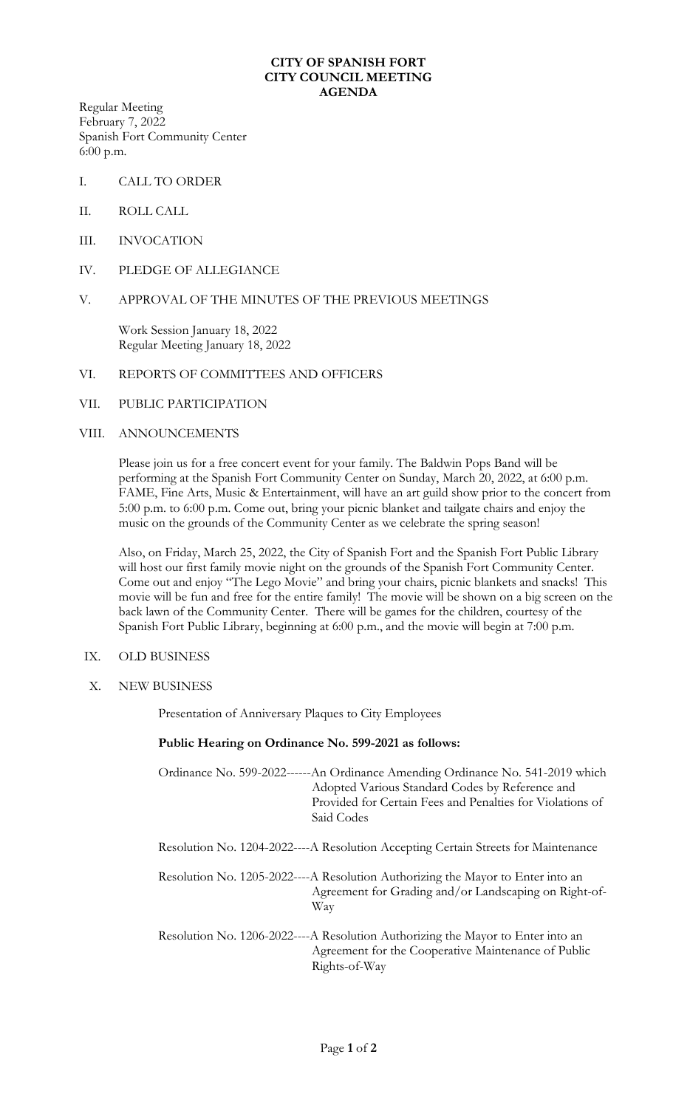## **CITY OF SPANISH FORT CITY COUNCIL MEETING AGENDA**

Regular Meeting February 7, 2022 Spanish Fort Community Center 6:00 p.m.

- I. CALL TO ORDER
- II. ROLL CALL
- III. INVOCATION
- IV. PLEDGE OF ALLEGIANCE

## V. APPROVAL OF THE MINUTES OF THE PREVIOUS MEETINGS

Work Session January 18, 2022 Regular Meeting January 18, 2022

#### VI. REPORTS OF COMMITTEES AND OFFICERS

## VII. PUBLIC PARTICIPATION

## VIII. ANNOUNCEMENTS

Please join us for a free concert event for your family. The Baldwin Pops Band will be performing at the Spanish Fort Community Center on Sunday, March 20, 2022, at 6:00 p.m. FAME, Fine Arts, Music & Entertainment, will have an art guild show prior to the concert from 5:00 p.m. to 6:00 p.m. Come out, bring your picnic blanket and tailgate chairs and enjoy the music on the grounds of the Community Center as we celebrate the spring season!

Also, on Friday, March 25, 2022, the City of Spanish Fort and the Spanish Fort Public Library will host our first family movie night on the grounds of the Spanish Fort Community Center. Come out and enjoy "The Lego Movie" and bring your chairs, picnic blankets and snacks! This movie will be fun and free for the entire family! The movie will be shown on a big screen on the back lawn of the Community Center. There will be games for the children, courtesy of the Spanish Fort Public Library, beginning at 6:00 p.m., and the movie will begin at 7:00 p.m.

## IX. OLD BUSINESS

X. NEW BUSINESS

Presentation of Anniversary Plaques to City Employees

## **Public Hearing on Ordinance No. 599-2021 as follows:**

| Ordinance No. 599-2022------An Ordinance Amending Ordinance No. 541-2019 which |
|--------------------------------------------------------------------------------|
| Adopted Various Standard Codes by Reference and                                |
| Provided for Certain Fees and Penalties for Violations of                      |
| Said Codes                                                                     |
|                                                                                |

Resolution No. 1204-2022----A Resolution Accepting Certain Streets for Maintenance

Resolution No. 1205-2022----A Resolution Authorizing the Mayor to Enter into an Agreement for Grading and/or Landscaping on Right-of-Way

Resolution No. 1206-2022----A Resolution Authorizing the Mayor to Enter into an Agreement for the Cooperative Maintenance of Public Rights-of-Way